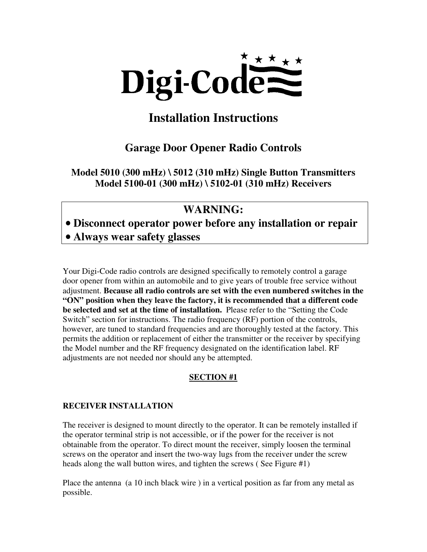

# **Installation Instructions**

## **Garage Door Opener Radio Controls**

**Model 5010 (300 mHz) \ 5012 (310 mHz) Single Button Transmitters Model 5100-01 (300 mHz) \ 5102-01 (310 mHz) Receivers**

## **WARNING:**

• **Disconnect operator power before any installation or repair**  • **Always wear safety glasses** 

Your Digi-Code radio controls are designed specifically to remotely control a garage door opener from within an automobile and to give years of trouble free service without adjustment. **Because all radio controls are set with the even numbered switches in the "ON" position when they leave the factory, it is recommended that a different code be selected and set at the time of installation.** Please refer to the "Setting the Code Switch" section for instructions. The radio frequency (RF) portion of the controls, however, are tuned to standard frequencies and are thoroughly tested at the factory. This permits the addition or replacement of either the transmitter or the receiver by specifying the Model number and the RF frequency designated on the identification label. RF adjustments are not needed nor should any be attempted.

## **SECTION #1**

## **RECEIVER INSTALLATION**

The receiver is designed to mount directly to the operator. It can be remotely installed if the operator terminal strip is not accessible, or if the power for the receiver is not obtainable from the operator. To direct mount the receiver, simply loosen the terminal screws on the operator and insert the two-way lugs from the receiver under the screw heads along the wall button wires, and tighten the screws ( See Figure #1)

Place the antenna (a 10 inch black wire ) in a vertical position as far from any metal as possible.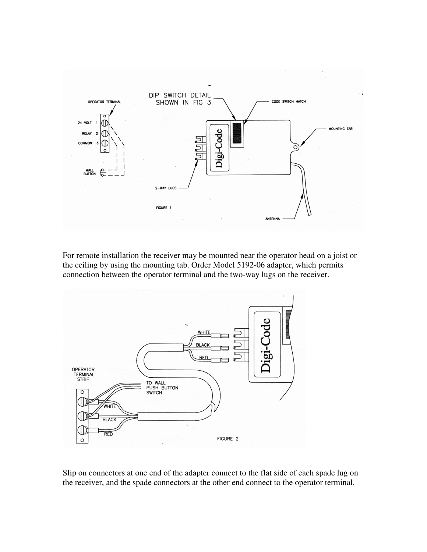

For remote installation the receiver may be mounted near the operator head on a joist or the ceiling by using the mounting tab. Order Model 5192-06 adapter, which permits connection between the operator terminal and the two-way lugs on the receiver.



Slip on connectors at one end of the adapter connect to the flat side of each spade lug on the receiver, and the spade connectors at the other end connect to the operator terminal.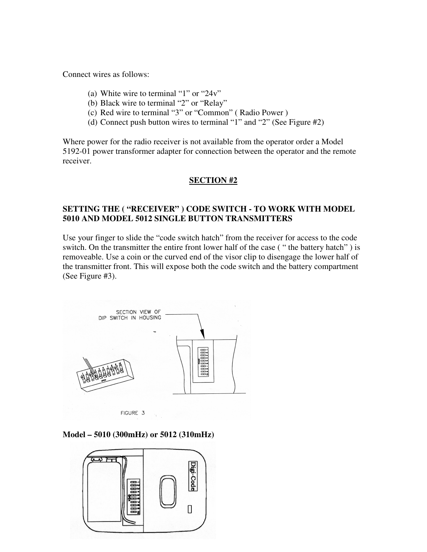Connect wires as follows:

- (a) White wire to terminal "1" or "24v"
- (b) Black wire to terminal "2" or "Relay"
- (c) Red wire to terminal "3" or "Common" ( Radio Power )
- (d) Connect push button wires to terminal "1" and "2" (See Figure #2)

Where power for the radio receiver is not available from the operator order a Model 5192-01 power transformer adapter for connection between the operator and the remote receiver.

#### **SECTION #2**

## **SETTING THE ( "RECEIVER" ) CODE SWITCH - TO WORK WITH MODEL 5010 AND MODEL 5012 SINGLE BUTTON TRANSMITTERS**

Use your finger to slide the "code switch hatch" from the receiver for access to the code switch. On the transmitter the entire front lower half of the case ( " the battery hatch" ) is removeable. Use a coin or the curved end of the visor clip to disengage the lower half of the transmitter front. This will expose both the code switch and the battery compartment (See Figure #3).



#### **Model – 5010 (300mHz) or 5012 (310mHz)**

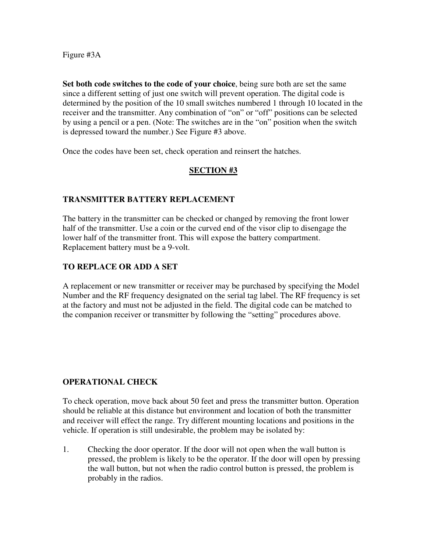Figure #3A

**Set both code switches to the code of your choice**, being sure both are set the same since a different setting of just one switch will prevent operation. The digital code is determined by the position of the 10 small switches numbered 1 through 10 located in the receiver and the transmitter. Any combination of "on" or "off" positions can be selected by using a pencil or a pen. (Note: The switches are in the "on" position when the switch is depressed toward the number.) See Figure #3 above.

Once the codes have been set, check operation and reinsert the hatches.

## **SECTION #3**

## **TRANSMITTER BATTERY REPLACEMENT**

The battery in the transmitter can be checked or changed by removing the front lower half of the transmitter. Use a coin or the curved end of the visor clip to disengage the lower half of the transmitter front. This will expose the battery compartment. Replacement battery must be a 9-volt.

## **TO REPLACE OR ADD A SET**

A replacement or new transmitter or receiver may be purchased by specifying the Model Number and the RF frequency designated on the serial tag label. The RF frequency is set at the factory and must not be adjusted in the field. The digital code can be matched to the companion receiver or transmitter by following the "setting" procedures above.

### **OPERATIONAL CHECK**

To check operation, move back about 50 feet and press the transmitter button. Operation should be reliable at this distance but environment and location of both the transmitter and receiver will effect the range. Try different mounting locations and positions in the vehicle. If operation is still undesirable, the problem may be isolated by:

1. Checking the door operator. If the door will not open when the wall button is pressed, the problem is likely to be the operator. If the door will open by pressing the wall button, but not when the radio control button is pressed, the problem is probably in the radios.